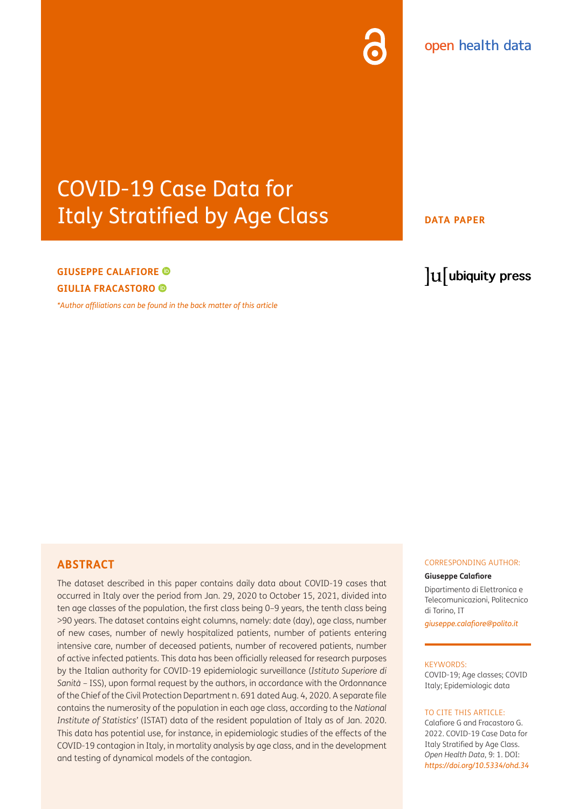# open health data

# COVID-19 Case Data for **Italy Stratified by Age Class BE ADATA PAPER**

# **GIUSEPPE CALAFIORE GIULIA FRACASTORO**

*[\\*Author affiliations can be found in the back matter of this article](#page-4-0)*

# lu ubiquity press

# **ABSTRACT**

The dataset described in this paper contains daily data about COVID-19 cases that occurred in Italy over the period from Jan. 29, 2020 to October 15, 2021, divided into ten age classes of the population, the first class being 0–9 years, the tenth class being >90 years. The dataset contains eight columns, namely: date (day), age class, number of new cases, number of newly hospitalized patients, number of patients entering intensive care, number of deceased patients, number of recovered patients, number of active infected patients. This data has been officially released for research purposes by the Italian authority for COVID-19 epidemiologic surveillance (*Istituto Superiore di Sanità* – ISS), upon formal request by the authors, in accordance with the Ordonnance of the Chief of the Civil Protection Department n. 691 dated Aug. 4, 2020. A separate file contains the numerosity of the population in each age class, according to the *National Institute of Statistics'* (ISTAT) data of the resident population of Italy as of Jan. 2020. This data has potential use, for instance, in epidemiologic studies of the effects of the COVID-19 contagion in Italy, in mortality analysis by age class, and in the development and testing of dynamical models of the contagion.

#### CORRESPONDING AUTHOR:

#### **Giuseppe Calafiore**

Dipartimento di Elettronica e Telecomunicazioni, Politecnico di Torino, IT

*[giuseppe.calafiore@polito.it](mailto:giuseppe.calafiore@polito.it)*

#### KEYWORDS:

COVID-19; Age classes; COVID Italy; Epidemiologic data

#### TO CITE THIS ARTICLE:

Calafiore G and Fracastoro G. 2022. COVID-19 Case Data for Italy Stratified by Age Class. *Open Health Data*, 9: 1. DOI: *<https://doi.org/10.5334/ohd.34>*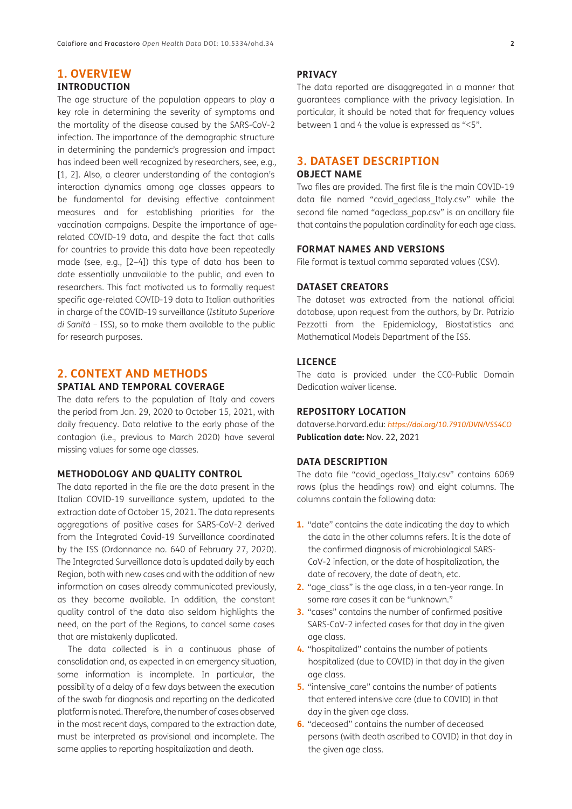#### **1. OVERVIEW INTRODUCTION**

The age structure of the population appears to play a key role in determining the severity of symptoms and the mortality of the disease caused by the SARS-CoV-2 infection. The importance of the demographic structure in determining the pandemic's progression and impact has indeed been well recognized by researchers, see, e.g., [[1,](#page-4-1) [2\]](#page-4-1). Also, a clearer understanding of the contagion's interaction dynamics among age classes appears to be fundamental for devising effective containment measures and for establishing priorities for the vaccination campaigns. Despite the importance of agerelated COVID-19 data, and despite the fact that calls for countries to provide this data have been repeatedly made (see, e.g., [\[2](#page-4-1)–[4](#page-4-1)]) this type of data has been to date essentially unavailable to the public, and even to researchers. This fact motivated us to formally request specific age-related COVID-19 data to Italian authorities in charge of the COVID-19 surveillance (*Istituto Superiore di Sanità* – ISS), so to make them available to the public for research purposes.

# **2. CONTEXT AND METHODS**

### **SPATIAL AND TEMPORAL COVERAGE**

The data refers to the population of Italy and covers the period from Jan. 29, 2020 to October 15, 2021, with daily frequency. Data relative to the early phase of the contagion (i.e., previous to March 2020) have several missing values for some age classes.

#### **METHODOLOGY AND QUALITY CONTROL**

The data reported in the file are the data present in the Italian COVID-19 surveillance system, updated to the extraction date of October 15, 2021. The data represents aggregations of positive cases for SARS-CoV-2 derived from the Integrated Covid-19 Surveillance coordinated by the ISS (Ordonnance no. 640 of February 27, 2020). The Integrated Surveillance data is updated daily by each Region, both with new cases and with the addition of new information on cases already communicated previously, as they become available. In addition, the constant quality control of the data also seldom highlights the need, on the part of the Regions, to cancel some cases that are mistakenly duplicated.

The data collected is in a continuous phase of consolidation and, as expected in an emergency situation, some information is incomplete. In particular, the possibility of a delay of a few days between the execution of the swab for diagnosis and reporting on the dedicated platform is noted. Therefore, the number of cases observed in the most recent days, compared to the extraction date, must be interpreted as provisional and incomplete. The same applies to reporting hospitalization and death.

#### **PRIVACY**

The data reported are disaggregated in a manner that guarantees compliance with the privacy legislation. In particular, it should be noted that for frequency values between 1 and 4 the value is expressed as "<5".

## **3. DATASET DESCRIPTION**

#### **OBJECT NAME**

Two files are provided. The first file is the main COVID-19 data file named "covid\_ageclass\_Italy.csv" while the second file named "ageclass pop.csv" is an ancillary file that contains the population cardinality for each age class.

#### **FORMAT NAMES AND VERSIONS**

File format is textual comma separated values (CSV).

#### **DATASET CREATORS**

The dataset was extracted from the national official database, upon request from the authors, by Dr. Patrizio Pezzotti from the Epidemiology, Biostatistics and Mathematical Models Department of the ISS.

#### **LICENCE**

The data is provided under the CC0-Public Domain Dedication waiver license.

#### **REPOSITORY LOCATION**

dataverse.harvard.edu: *<https://doi.org/10.7910/DVN/VSS4CO>* **Publication date:** Nov. 22, 2021

#### **DATA DESCRIPTION**

The data file "covid ageclass Italy.csv" contains 6069 rows (plus the headings row) and eight columns. The columns contain the following data:

- **1.** "date" contains the date indicating the day to which the data in the other columns refers. It is the date of the confirmed diagnosis of microbiological SARS-CoV-2 infection, or the date of hospitalization, the date of recovery, the date of death, etc.
- **2.** "age class" is the age class, in a ten-year range. In some rare cases it can be "unknown."
- **3.** "cases" contains the number of confirmed positive SARS-CoV-2 infected cases for that day in the given age class.
- **4.** "hospitalized" contains the number of patients hospitalized (due to COVID) in that day in the given age class.
- **5.** "intensive care" contains the number of patients that entered intensive care (due to COVID) in that day in the given age class.
- **6.** "deceased" contains the number of deceased persons (with death ascribed to COVID) in that day in the given age class.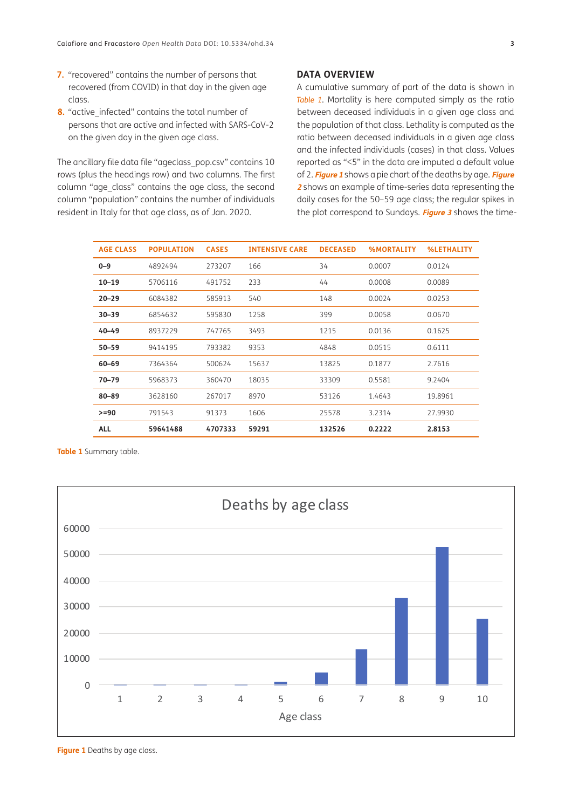- **7.** "recovered" contains the number of persons that recovered (from COVID) in that day in the given age class.
- **8.** "active infected" contains the total number of persons that are active and infected with SARS-CoV-2 on the given day in the given age class.

The ancillary file data file "ageclass\_pop.csv" contains 10 rows (plus the headings row) and two columns. The first column "age\_class" contains the age class, the second column "population" contains the number of individuals resident in Italy for that age class, as of Jan. 2020.

#### **DATA OVERVIEW**

A cumulative summary of part of the data is shown in *[Table 1](#page-2-0)*. Mortality is here computed simply as the ratio between deceased individuals in a given age class and the population of that class. Lethality is computed as the ratio between deceased individuals in a given age class and the infected individuals (cases) in that class. Values reported as "<5" in the data are imputed a default value of 2. **[Figure 1](#page-2-1)** shows a pie chart of the deaths by age. **[Figure](#page-3-0) [2](#page-3-0)** shows an example of time-series data representing the daily cases for the 50–59 age class; the regular spikes in the plot correspond to Sundays. **[Figure 3](#page-3-1)** shows the time-

| <b>AGE CLASS</b> | <b>POPULATION</b> | <b>CASES</b> | <b>INTENSIVE CARE</b> | <b>DECEASED</b> | <b>%MORTALITY</b> | <b>%LETHALITY</b> |
|------------------|-------------------|--------------|-----------------------|-----------------|-------------------|-------------------|
| $0 - 9$          | 4892494           | 273207       | 166                   | 34              | 0.0007            | 0.0124            |
| $10 - 19$        | 5706116           | 491752       | 233                   | 44              | 0.0008            | 0.0089            |
| $20 - 29$        | 6084382           | 585913       | 540                   | 148             | 0.0024            | 0.0253            |
| $30 - 39$        | 6854632           | 595830       | 1258                  | 399             | 0.0058            | 0.0670            |
| $40 - 49$        | 8937229           | 747765       | 3493                  | 1215            | 0.0136            | 0.1625            |
| $50 - 59$        | 9414195           | 793382       | 9353                  | 4848            | 0.0515            | 0.6111            |
| $60 - 69$        | 7364364           | 500624       | 15637                 | 13825           | 0.1877            | 2.7616            |
| $70 - 79$        | 5968373           | 360470       | 18035                 | 33309           | 0.5581            | 9.2404            |
| $80 - 89$        | 3628160           | 267017       | 8970                  | 53126           | 1.4643            | 19.8961           |
| $>= 90$          | 791543            | 91373        | 1606                  | 25578           | 3.2314            | 27.9930           |
| <b>ALL</b>       | 59641488          | 4707333      | 59291                 | 132526          | 0.2222            | 2.8153            |

<span id="page-2-0"></span>**Table 1** Summary table.



<span id="page-2-1"></span>**Figure 1** Deaths by age class.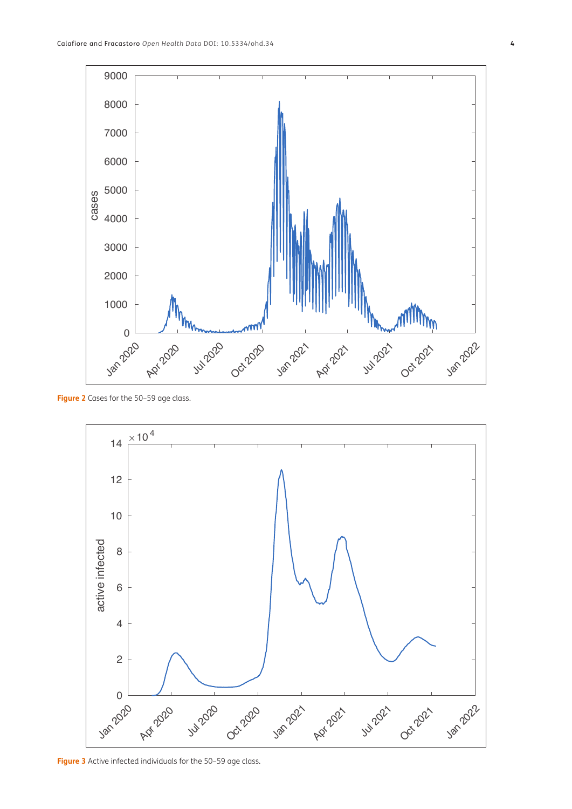

<span id="page-3-0"></span>**Figure 2** Cases for the 50–59 age class.



<span id="page-3-1"></span>**Figure 3** Active infected individuals for the 50–59 age class.